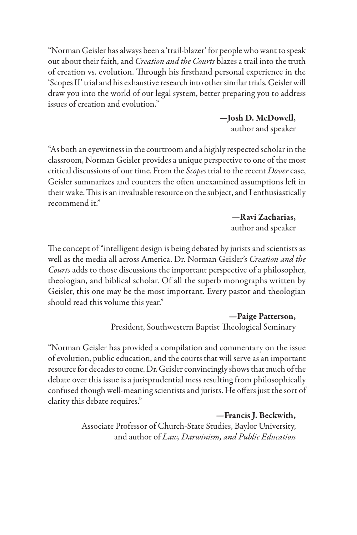"Norman Geisler has always been a 'trail-blazer' for people who want to speak out about their faith, and Creation and the Courts blazes a trail into the truth of creation vs. evolution. Through his firsthand personal experience in the 'Scopes II' trial and his exhaustive research into other similar trials, Geisler will draw you into the world of our legal system, better preparing you to address issues of creation and evolution."

> **—Josh D. McDowell,**  author and speaker

"As both an eyewitness in the courtroom and a highly respected scholar in the classroom, Norman Geisler provides a unique perspective to one of the most critical discussions of our time. From the Scopes trial to the recent Dover case, Geisler summarizes and counters the often unexamined assumptions left in their wake. This is an invaluable resource on the subject, and I enthusiastically recommend it."

> **—Ravi Zacharias,**  author and speaker

The concept of "intelligent design is being debated by jurists and scientists as well as the media all across America. Dr. Norman Geisler's Creation and the Courts adds to those discussions the important perspective of a philosopher, theologian, and biblical scholar. Of all the superb monographs written by Geisler, this one may be the most important. Every pastor and theologian should read this volume this year."

> **—Paige Patterson,**  President, Southwestern Baptist Theological Seminary

"Norman Geisler has provided a compilation and commentary on the issue of evolution, public education, and the courts that will serve as an important resource for decades to come. Dr. Geisler convincingly shows that much of the debate over this issue is a jurisprudential mess resulting from philosophically confused though well-meaning scientists and jurists. He offers just the sort of clarity this debate requires."

**—Francis J. Beckwith,** 

Associate Professor of Church-State Studies, Baylor University, and author of Law, Darwinism, and Public Education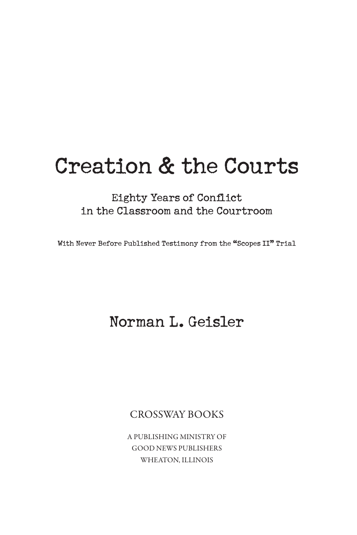# Creation & the Courts

Eighty Years of Conflict in the Classroom and the Courtroom

With Never Before Published Testimony from the "Scopes II" Trial

# Norman L. Geisler

# CROSSWAY BOOKS

A PUBLISHING MINISTRY OF GOOD NEWS PUBLISHERS WHEATON, ILLINOIS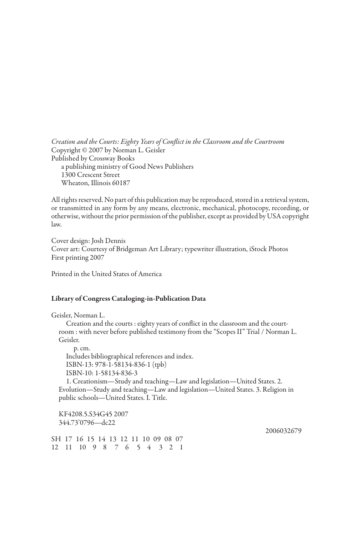Creation and the Courts: Eighty Years of Conflict in the Classroom and the Courtroom Copyright © 2007 by Norman L. Geisler Published by Crossway Books a publishing ministry of Good News Publishers 1300 Crescent Street Wheaton, Illinois 60187

All rights reserved. No part of this publication may be reproduced, stored in a retrieval system, or transmitted in any form by any means, electronic, mechanical, photocopy, recording, or otherwise, without the prior permission of the publisher, except as provided by USA copyright law.

Cover design: Josh Dennis Cover art: Courtesy of Bridgeman Art Library; typewriter illustration, iStock Photos First printing 2007

Printed in the United States of America

#### **Library of Congress Cataloging-in-Publication Data**

Geisler, Norman L.

Creation and the courts : eighty years of conflict in the classroom and the courtroom : with never before published testimony from the "Scopes II" Trial / Norman L. Geisler.

p. cm. Includes bibliographical references and index. ISBN-13: 978-1-58134-836-1 (tpb) ISBN-10: 1-58134-836-3 1. Creationism—Study and teaching—Law and legislation—United States. 2. Evolution—Study and teaching—Law and legislation—United States. 3. Religion in public schools—United States. I. Title.

KF4208.5.S34G45 2007 344.73'0796—dc22

SH 17 16 15 14 13 12 11 10 09 08 07 12 11 10 9 8 7 6 5 4 3 2 1 2006032679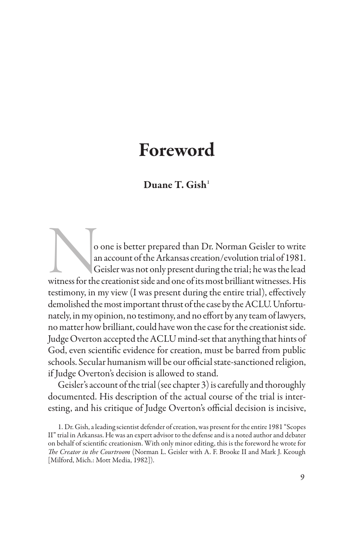# **Foreword**

### **Duane T. Gish**<sup>1</sup>

o one is better prepared than Dr. Norman Geisler to write<br>an account of the Arkansas creation/evolution trial of 1981.<br>Geisler was not only present during the trial: he was the lead an account of the Arkansas creation/evolution trial of 1981. Geisler was not only present during the trial; he was the lead witness for the creationist side and one of its most brilliant witnesses. His testimony, in my view (I was present during the entire trial), effectively demolished the most important thrust of the case by the ACLU. Unfortunately, in my opinion, no testimony, and no effort by any team of lawyers, no matter how brilliant, could have won the case for the creationist side. Judge Overton accepted the ACLU mind-set that anything that hints of God, even scientific evidence for creation, must be barred from public schools. Secular humanism will be our official state-sanctioned religion, if Judge Overton's decision is allowed to stand.

Geisler's account of the trial (see chapter 3) is carefully and thoroughly documented. His description of the actual course of the trial is interesting, and his critique of Judge Overton's official decision is incisive,

1. Dr. Gish, a leading scientist defender of creation, was present for the entire 1981 "Scopes II" trial in Arkansas. He was an expert advisor to the defense and is a noted author and debater on behalf of scientific creationism. With only minor editing, this is the foreword he wrote for The Creator in the Courtroom (Norman L. Geisler with A. F. Brooke II and Mark J. Keough [Milford, Mich.: Mott Media, 1982]).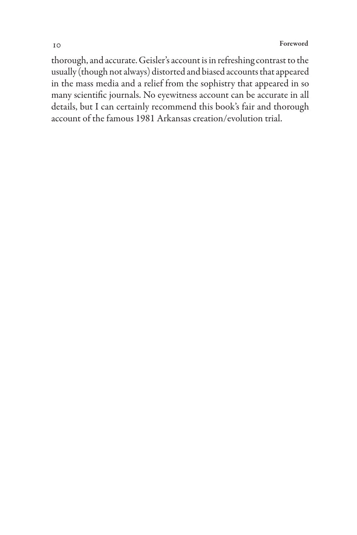thorough, and accurate. Geisler's account is in refreshing contrast to the usually (though not always) distorted and biased accounts that appeared in the mass media and a relief from the sophistry that appeared in so many scientific journals. No eyewitness account can be accurate in all details, but I can certainly recommend this book's fair and thorough account of the famous 1981 Arkansas creation/evolution trial.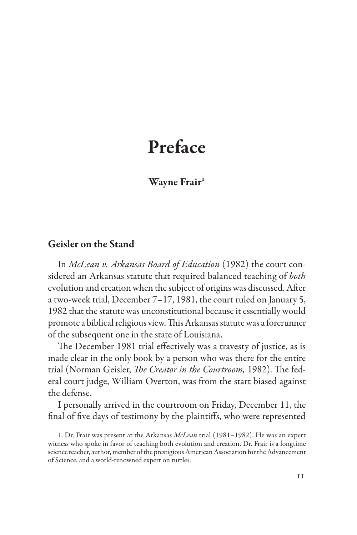# **Preface**

# **Wayne Frair 1**

# **Geisler on the Stand**

In McLean v. Arkansas Board of Education (1982) the court considered an Arkansas statute that required balanced teaching of both evolution and creation when the subject of origins was discussed. After a two-week trial, December 7–17, 1981, the court ruled on January 5, 1982 that the statute was unconstitutional because it essentially would promote a biblical religious view. This Arkansas statute was a forerunner of the subsequent one in the state of Louisiana.

The December 1981 trial effectively was a travesty of justice, as is made clear in the only book by a person who was there for the entire trial (Norman Geisler, *The Creator in the Courtroom*, 1982). The federal court judge, William Overton, was from the start biased against the defense.

I personally arrived in the courtroom on Friday, December 11, the final of five days of testimony by the plaintiffs, who were represented

1. Dr. Frair was present at the Arkansas McLean trial (1981-1982). He was an expert witness who spoke in favor of teaching both evolution and creation. Dr. Frair is a longtime science teacher, author, member of the prestigious American Association for the Advancement of Science, and a world-renowned expert on turtles.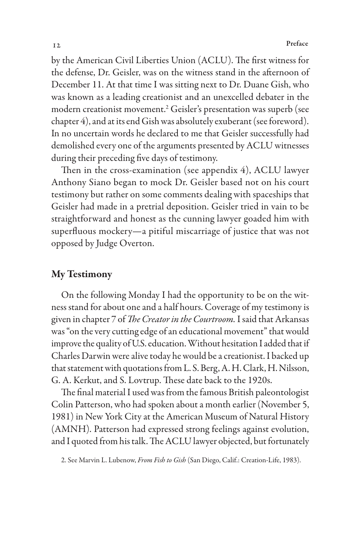by the American Civil Liberties Union (ACLU). The first witness for the defense, Dr. Geisler, was on the witness stand in the afternoon of December 11. At that time I was sitting next to Dr. Duane Gish, who was known as a leading creationist and an unexcelled debater in the modern creationist movement.2 Geisler's presentation was superb (see chapter 4), and at its end Gish was absolutely exuberant (see foreword). In no uncertain words he declared to me that Geisler successfully had demolished every one of the arguments presented by ACLU witnesses during their preceding five days of testimony.

Then in the cross-examination (see appendix 4), ACLU lawyer Anthony Siano began to mock Dr. Geisler based not on his court testimony but rather on some comments dealing with spaceships that Geisler had made in a pretrial deposition. Geisler tried in vain to be straightforward and honest as the cunning lawyer goaded him with superfluous mockery—a pitiful miscarriage of justice that was not opposed by Judge Overton.

#### **My Testimony**

On the following Monday I had the opportunity to be on the witness stand for about one and a half hours. Coverage of my testimony is given in chapter 7 of The Creator in the Courtroom. I said that Arkansas was "on the very cutting edge of an educational movement" that would improve the quality of U.S. education. Without hesitation I added that if Charles Darwin were alive today he would be a creationist. I backed up that statement with quotations from L. S. Berg, A. H. Clark, H. Nilsson, G. A. Kerkut, and S. Lovtrup. These date back to the 1920s.

The final material I used was from the famous British paleontologist Colin Patterson, who had spoken about a month earlier (November 5, 1981) in New York City at the American Museum of Natural History (AMNH). Patterson had expressed strong feelings against evolution, and I quoted from his talk. The ACLU lawyer objected, but fortunately

2. See Marvin L. Lubenow, From Fish to Gish (San Diego, Calif.: Creation-Life, 1983).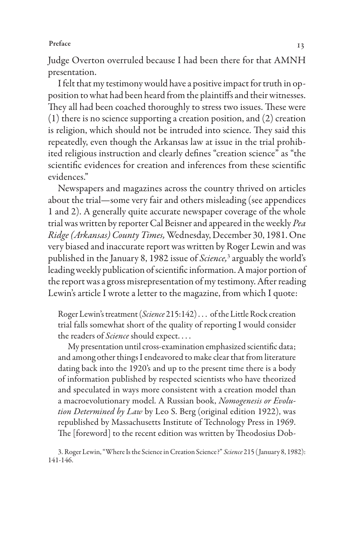# Preface 13

Judge Overton overruled because I had been there for that AMNH presentation.

I felt that my testimony would have a positive impact for truth in opposition to what had been heard from the plaintiffs and their witnesses. They all had been coached thoroughly to stress two issues. These were (1) there is no science supporting a creation position, and (2) creation is religion, which should not be intruded into science. They said this repeatedly, even though the Arkansas law at issue in the trial prohibited religious instruction and clearly defines "creation science" as "the scientific evidences for creation and inferences from these scientific evidences."

Newspapers and magazines across the country thrived on articles about the trial—some very fair and others misleading (see appendices 1 and 2). A generally quite accurate newspaper coverage of the whole trial was written by reporter Cal Beisner and appeared in the weekly Pea Ridge (Arkansas) County Times, Wednesday, December 30, 1981. One very biased and inaccurate report was written by Roger Lewin and was published in the January 8, 1982 issue of Science,<sup>3</sup> arguably the world's leading weekly publication of scientific information. A major portion of the report was a gross misrepresentation of my testimony. After reading Lewin's article I wrote a letter to the magazine, from which I quote:

Roger Lewin's treatment (Science 215:142)... of the Little Rock creation trial falls somewhat short of the quality of reporting I would consider the readers of Science should expect....

My presentation until cross-examination emphasized scientific data; and among other things I endeavored to make clear that from literature dating back into the 1920's and up to the present time there is a body of information published by respected scientists who have theorized and speculated in ways more consistent with a creation model than a macroevolutionary model. A Russian book, Nomogenesis or Evolution Determined by Law by Leo S. Berg (original edition 1922), was republished by Massachusetts Institute of Technology Press in 1969. The [foreword] to the recent edition was written by Theodosius Dob-

3. Roger Lewin, "Where Is the Science in Creation Science?" Science 215 (January 8, 1982): 141-146.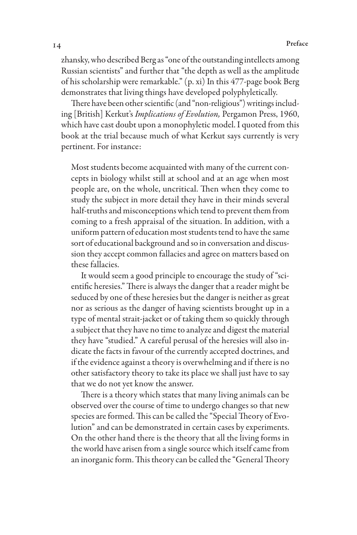zhansky, who described Berg as "one of the outstanding intellects among Russian scientists" and further that "the depth as well as the amplitude of his scholarship were remarkable." (p. xi) In this 477-page book Berg demonstrates that living things have developed polyphyletically.

There have been other scientific (and "non-religious") writings including [British] Kerkut's Implications of Evolution, Pergamon Press, 1960, which have cast doubt upon a monophyletic model. I quoted from this book at the trial because much of what Kerkut says currently is very pertinent. For instance:

Most students become acquainted with many of the current concepts in biology whilst still at school and at an age when most people are, on the whole, uncritical. Then when they come to study the subject in more detail they have in their minds several half-truths and misconceptions which tend to prevent them from coming to a fresh appraisal of the situation. In addition, with a uniform pattern of education most students tend to have the same sort of educational background and so in conversation and discussion they accept common fallacies and agree on matters based on these fallacies.

It would seem a good principle to encourage the study of "scientific heresies." There is always the danger that a reader might be seduced by one of these heresies but the danger is neither as great nor as serious as the danger of having scientists brought up in a type of mental strait-jacket or of taking them so quickly through a subject that they have no time to analyze and digest the material they have "studied." A careful perusal of the heresies will also indicate the facts in favour of the currently accepted doctrines, and if the evidence against a theory is overwhelming and if there is no other satisfactory theory to take its place we shall just have to say that we do not yet know the answer.

There is a theory which states that many living animals can be observed over the course of time to undergo changes so that new species are formed. This can be called the "Special Theory of Evolution" and can be demonstrated in certain cases by experiments. On the other hand there is the theory that all the living forms in the world have arisen from a single source which itself came from an inorganic form. This theory can be called the "General Theory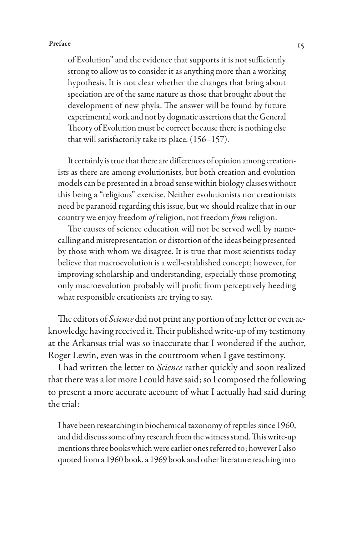# Preface 15

of Evolution" and the evidence that supports it is not sufficiently strong to allow us to consider it as anything more than a working hypothesis. It is not clear whether the changes that bring about speciation are of the same nature as those that brought about the development of new phyla. The answer will be found by future experimental work and not by dogmatic assertions that the General Theory of Evolution must be correct because there is nothing else that will satisfactorily take its place. (156–157).

It certainly is true that there are differences of opinion among creationists as there are among evolutionists, but both creation and evolution models can be presented in a broad sense within biology classes without this being a "religious" exercise. Neither evolutionists nor creationists need be paranoid regarding this issue, but we should realize that in our country we enjoy freedom of religion, not freedom from religion.

The causes of science education will not be served well by namecalling and misrepresentation or distortion of the ideas being presented by those with whom we disagree. It is true that most scientists today believe that macroevolution is a well-established concept; however, for improving scholarship and understanding, especially those promoting only macroevolution probably will profit from perceptively heeding what responsible creationists are trying to say.

The editors of *Science* did not print any portion of my letter or even acknowledge having received it. Their published write-up of my testimony at the Arkansas trial was so inaccurate that I wondered if the author, Roger Lewin, even was in the courtroom when I gave testimony.

I had written the letter to *Science* rather quickly and soon realized that there was a lot more I could have said; so I composed the following to present a more accurate account of what I actually had said during the trial:

I have been researching in biochemical taxonomy of reptiles since 1960, and did discuss some of my research from the witness stand. This write-up mentions three books which were earlier ones referred to; however I also quoted from a 1960 book, a 1969 book and other literature reaching into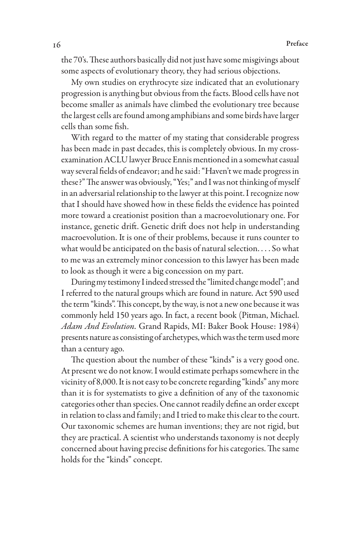the 70's. These authors basically did not just have some misgivings about some aspects of evolutionary theory, they had serious objections.

My own studies on erythrocyte size indicated that an evolutionary progression is anything but obvious from the facts. Blood cells have not become smaller as animals have climbed the evolutionary tree because the largest cells are found among amphibians and some birds have larger cells than some fish.

With regard to the matter of my stating that considerable progress has been made in past decades, this is completely obvious. In my crossexamination ACLU lawyer Bruce Ennis mentioned in a somewhat casual way several fields of endeavor; and he said: "Haven't we made progress in these?" The answer was obviously, "Yes;" and I was not thinking of myself in an adversarial relationship to the lawyer at this point. I recognize now that I should have showed how in these fields the evidence has pointed more toward a creationist position than a macroevolutionary one. For instance, genetic drift. Genetic drift does not help in understanding macroevolution. It is one of their problems, because it runs counter to what would be anticipated on the basis of natural selection. . . . So what to me was an extremely minor concession to this lawyer has been made to look as though it were a big concession on my part.

During my testimony I indeed stressed the "limited change model"; and I referred to the natural groups which are found in nature. Act 590 used the term "kinds". This concept, by the way, is not a new one because it was commonly held 150 years ago. In fact, a recent book (Pitman, Michael. Adam And Evolution. Grand Rapids, MI: Baker Book House: 1984) presents nature as consisting of archetypes, which was the term used more than a century ago.

The question about the number of these "kinds" is a very good one. At present we do not know. I would estimate perhaps somewhere in the vicinity of 8,000. It is not easy to be concrete regarding "kinds" any more than it is for systematists to give a definition of any of the taxonomic categories other than species. One cannot readily define an order except in relation to class and family; and I tried to make this clear to the court. Our taxonomic schemes are human inventions; they are not rigid, but they are practical. A scientist who understands taxonomy is not deeply concerned about having precise definitions for his categories. The same holds for the "kinds" concept.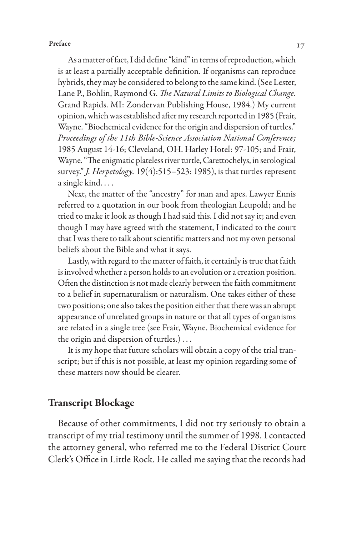# **Preface** 17

As a matter of fact, I did define "kind" in terms of reproduction, which is at least a partially acceptable definition. If organisms can reproduce hybrids, they may be considered to belong to the same kind. (See Lester, Lane P., Bohlin, Raymond G. The Natural Limits to Biological Change. Grand Rapids. MI: Zondervan Publishing House, 1984.) My current opinion, which was established after my research reported in 1985 (Frair, Wayne. "Biochemical evidence for the origin and dispersion of turtles." Proceedings of the 11th Bible-Science Association National Conference; 1985 August 14-16; Cleveland, OH. Harley Hotel: 97-105; and Frair, Wayne. "The enigmatic plateless river turtle, Carettochelys, in serological survey." *J. Herpetology*.  $19(4):515-523:1985$ , is that turtles represent a single kind....

Next, the matter of the "ancestry" for man and apes. Lawyer Ennis referred to a quotation in our book from theologian Leupold; and he tried to make it look as though I had said this. I did not say it; and even though I may have agreed with the statement, I indicated to the court that I was there to talk about scientific matters and not my own personal beliefs about the Bible and what it says.

Lastly, with regard to the matter of faith, it certainly is true that faith is involved whether a person holds to an evolution or a creation position. Often the distinction is not made clearly between the faith commitment to a belief in supernaturalism or naturalism. One takes either of these two positions; one also takes the position either that there was an abrupt appearance of unrelated groups in nature or that all types of organisms are related in a single tree (see Frair, Wayne. Biochemical evidence for the origin and dispersion of turtles.) . . .

It is my hope that future scholars will obtain a copy of the trial transcript; but if this is not possible, at least my opinion regarding some of these matters now should be clearer.

#### **Transcript Blockage**

Because of other commitments, I did not try seriously to obtain a transcript of my trial testimony until the summer of 1998. I contacted the attorney general, who referred me to the Federal District Court Clerk's Office in Little Rock. He called me saying that the records had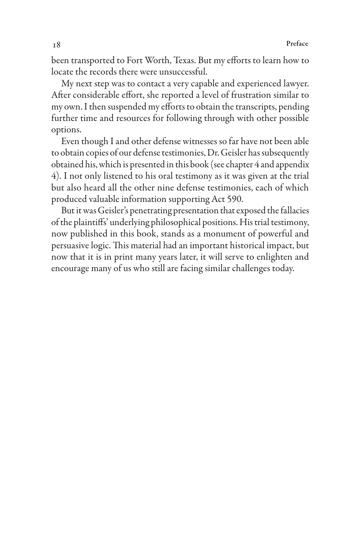been transported to Fort Worth, Texas. But my efforts to learn how to locate the records there were unsuccessful.

My next step was to contact a very capable and experienced lawyer. After considerable effort, she reported a level of frustration similar to my own. I then suspended my efforts to obtain the transcripts, pending further time and resources for following through with other possible options.

Even though I and other defense witnesses so far have not been able to obtain copies of our defense testimonies, Dr. Geisler has subsequently obtained his, which is presented in this book (see chapter 4 and appendix 4). I not only listened to his oral testimony as it was given at the trial but also heard all the other nine defense testimonies, each of which produced valuable information supporting Act 590.

But it was Geisler's penetrating presentation that exposed the fallacies of the plaintiffs' underlying philosophical positions. His trial testimony, now published in this book, stands as a monument of powerful and persuasive logic. This material had an important historical impact, but now that it is in print many years later, it will serve to enlighten and encourage many of us who still are facing similar challenges today.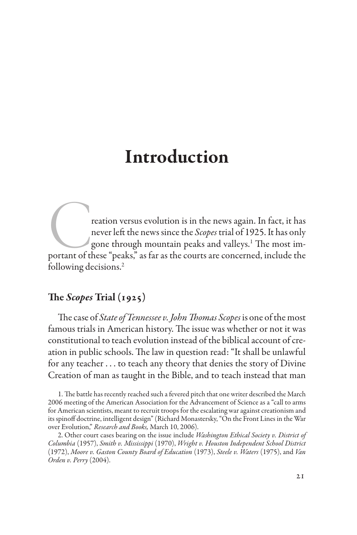# **Introduction**

reation versus evolution is in the news again. In fact, it has<br>never left the news since the *Scopes* trial of 1925. It has only<br>gone through mountain peaks and valleys.<sup>1</sup> The most imnever left the news since the *Scopes* trial of 1925. It has only gone through mountain peaks and valleys. 1 The most important of these "peaks," as far as the courts are concerned, include the following decisions. 2

# **The** *Scopes* **Trial (1925)**

The case of State of Tennessee v. John Thomas Scopes is one of the most famous trials in American history. The issue was whether or not it was constitutional to teach evolution instead of the biblical account of creation in public schools. The law in question read: "It shall be unlawful for any teacher . . . to teach any theory that denies the story of Divine Creation of man as taught in the Bible, and to teach instead that man

1. The battle has recently reached such a fevered pitch that one writer described the March 2006 meeting of the American Association for the Advancement of Science as a "call to arms for American scientists, meant to recruit troops for the escalating war against creationism and its spinoff doctrine, intelligent design" (Richard Monastersky, "On the Front Lines in the War over Evolution," Research and Books, March 10, 2006).

2. Other court cases bearing on the issue include Washington Ethical Society v. District of Columbia (1957), Smith v. Mississippi (1970), Wright v. Houston Independent School District (1972), Moore v. Gaston County Board of Education (1973), Steele v. Waters (1975), and Van Orden v. Perry (2004).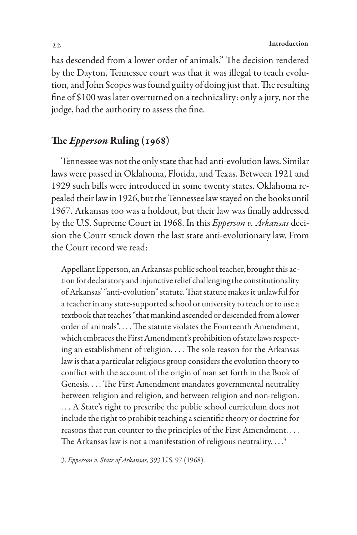has descended from a lower order of animals." The decision rendered by the Dayton, Tennessee court was that it was illegal to teach evolution, and John Scopes was found guilty of doing just that. The resulting fine of \$100 was later overturned on a technicality: only a jury, not the judge, had the authority to assess the fine.

# **The** *Epperson* **Ruling (1968)**

Tennessee was not the only state that had anti-evolution laws. Similar laws were passed in Oklahoma, Florida, and Texas. Between 1921 and 1929 such bills were introduced in some twenty states. Oklahoma repealed their law in 1926, but the Tennessee law stayed on the books until 1967. Arkansas too was a holdout, but their law was finally addressed by the U.S. Supreme Court in 1968. In this Epperson v. Arkansas decision the Court struck down the last state anti-evolutionary law. From the Court record we read:

Appellant Epperson, an Arkansas public school teacher, brought this action for declaratory and injunctive relief challenging the constitutionality of Arkansas' "anti-evolution" statute. That statute makes it unlawful for a teacher in any state-supported school or university to teach or to use a textbook that teaches "that mankind ascended or descended from a lower order of animals".... The statute violates the Fourteenth Amendment, which embraces the First Amendment's prohibition of state laws respecting an establishment of religion. . . . The sole reason for the Arkansas law is that a particular religious group considers the evolution theory to conflict with the account of the origin of man set forth in the Book of Genesis. . . . The First Amendment mandates governmental neutrality between religion and religion, and between religion and non-religion. . . . A State's right to prescribe the public school curriculum does not include the right to prohibit teaching a scientific theory or doctrine for reasons that run counter to the principles of the First Amendment. . . . The Arkansas law is not a manifestation of religious neutrality.  $\ldots$ <sup>3</sup>

3. Epperson v. State of Arkansas, 393 U.S. 97 (1968).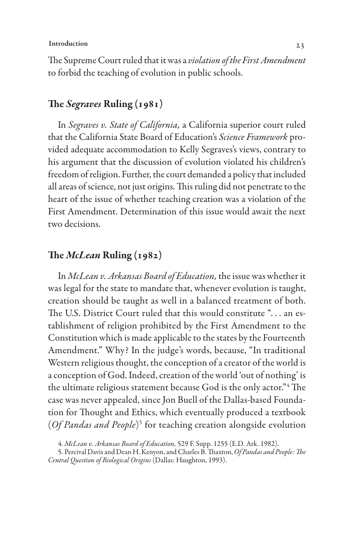### 23 **Introduction**

The Supreme Court ruled that it was a violation of the First Amendment to forbid the teaching of evolution in public schools.

### **The** *Segraves* **Ruling (1981)**

In Segraves v. State of California, a California superior court ruled that the California State Board of Education's Science Framework provided adequate accommodation to Kelly Segraves's views, contrary to his argument that the discussion of evolution violated his children's freedom of religion. Further, the court demanded a policy that included all areas of science, not just origins. This ruling did not penetrate to the heart of the issue of whether teaching creation was a violation of the First Amendment. Determination of this issue would await the next two decisions.

### **The** *McLean* **Ruling (1982)**

In McLean v. Arkansas Board of Education, the issue was whether it was legal for the state to mandate that, whenever evolution is taught, creation should be taught as well in a balanced treatment of both. The U.S. District Court ruled that this would constitute ". . . an establishment of religion prohibited by the First Amendment to the Constitution which is made applicable to the states by the Fourteenth Amendment." Why? In the judge's words, because, "In traditional Western religious thought, the conception of a creator of the world is a conception of God. Indeed, creation of the world 'out of nothing' is the ultimate religious statement because God is the only actor."4 The case was never appealed, since Jon Buell of the Dallas-based Foundation for Thought and Ethics, which eventually produced a textbook (*Of Pandas and People*)<sup>5</sup> for teaching creation alongside evolution

<sup>4.</sup> McLean v. Arkansas Board of Education, 529 F. Supp. 1255 (E.D. Ark. 1982).

<sup>5.</sup> Percival Davis and Dean H. Kenyon, and Charles B. Thaxton, Of Pandas and People: The Central Question of Biological Origins (Dallas: Haughton, 1993).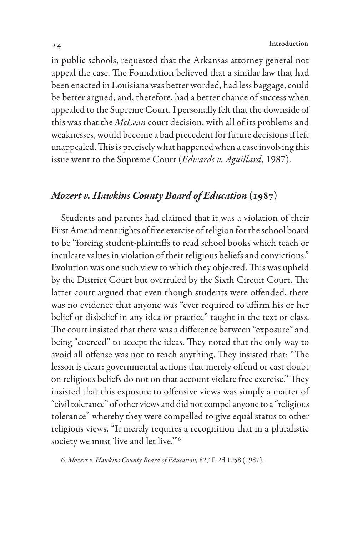in public schools, requested that the Arkansas attorney general not appeal the case. The Foundation believed that a similar law that had been enacted in Louisiana was better worded, had less baggage, could be better argued, and, therefore, had a better chance of success when appealed to the Supreme Court. I personally felt that the downside of this was that the *McLean* court decision, with all of its problems and weaknesses, would become a bad precedent for future decisions if left unappealed. This is precisely what happened when a case involving this issue went to the Supreme Court (Edwards v. Aguillard, 1987).

# *Mozert v. Hawkins County Board of Education* **(1987)**

Students and parents had claimed that it was a violation of their First Amendment rights of free exercise of religion for the school board to be "forcing student-plaintiffs to read school books which teach or inculcate values in violation of their religious beliefs and convictions." Evolution was one such view to which they objected. This was upheld by the District Court but overruled by the Sixth Circuit Court. The latter court argued that even though students were offended, there was no evidence that anyone was "ever required to affirm his or her belief or disbelief in any idea or practice" taught in the text or class. The court insisted that there was a difference between "exposure" and being "coerced" to accept the ideas. They noted that the only way to avoid all offense was not to teach anything. They insisted that: "The lesson is clear: governmental actions that merely offend or cast doubt on religious beliefs do not on that account violate free exercise." They insisted that this exposure to offensive views was simply a matter of "civil tolerance" of other views and did not compel anyone to a "religious tolerance" whereby they were compelled to give equal status to other religious views. "It merely requires a recognition that in a pluralistic society we must 'live and let live."<sup>6</sup>

6. Mozert v. Hawkins County Board of Education, 827 F. 2d 1058 (1987).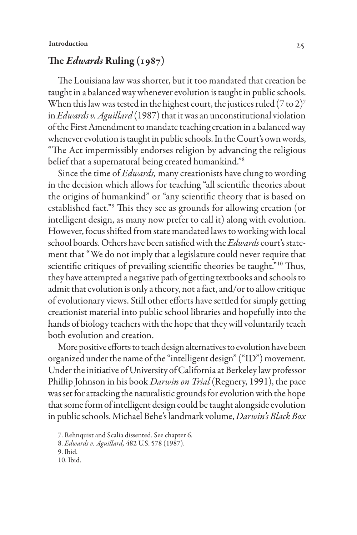# **The** *Edwards* **Ruling (1987)**

The Louisiana law was shorter, but it too mandated that creation be taught in a balanced way whenever evolution is taught in public schools. When this law was tested in the highest court, the justices ruled  $(7 \text{ to } 2)^7$ in Edwards v. Aguillard (1987) that it was an unconstitutional violation of the First Amendment to mandate teaching creation in a balanced way whenever evolution is taught in public schools. In the Court's own words, "The Act impermissibly endorses religion by advancing the religious belief that a supernatural being created humankind."8

Since the time of *Edwards*, many creationists have clung to wording in the decision which allows for teaching "all scientific theories about the origins of humankind" or "any scientific theory that is based on established fact."9 This they see as grounds for allowing creation (or intelligent design, as many now prefer to call it) along with evolution. However, focus shifted from state mandated laws to working with local school boards. Others have been satisfied with the Edwards court's statement that "We do not imply that a legislature could never require that scientific critiques of prevailing scientific theories be taught."10 Thus, they have attempted a negative path of getting textbooks and schools to admit that evolution is only a theory, not a fact, and/or to allow critique of evolutionary views. Still other efforts have settled for simply getting creationist material into public school libraries and hopefully into the hands of biology teachers with the hope that they will voluntarily teach both evolution and creation.

More positive efforts to teach design alternatives to evolution have been organized under the name of the "intelligent design" ("ID") movement. Under the initiative of University of California at Berkeley law professor Phillip Johnson in his book Darwin on Trial (Regnery, 1991), the pace was set for attacking the naturalistic grounds for evolution with the hope that some form of intelligent design could be taught alongside evolution in public schools. Michael Behe's landmark volume, Darwin's Black Box

10. Ibid.

<sup>7.</sup> Rehnquist and Scalia dissented. See chapter 6. 8. Edwards v. Aguillard, 482 U.S. 578 (1987). 9. Ibid.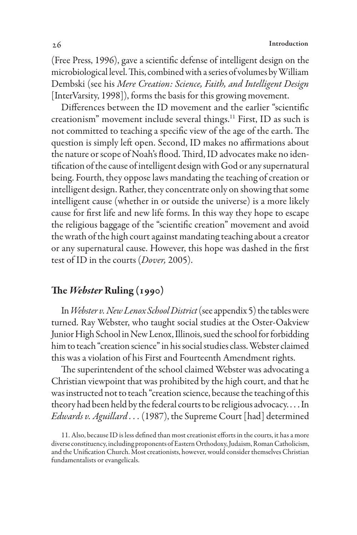(Free Press, 1996), gave a scientific defense of intelligent design on the microbiological level. This, combined with a series of volumes by William Dembski (see his Mere Creation: Science, Faith, and Intelligent Design [InterVarsity, 1998]), forms the basis for this growing movement.

Differences between the ID movement and the earlier "scientific creationism" movement include several things. 11 First, ID as such is not committed to teaching a specific view of the age of the earth. The question is simply left open. Second, ID makes no affirmations about the nature or scope of Noah's flood. Third, ID advocates make no identification of the cause of intelligent design with God or any supernatural being. Fourth, they oppose laws mandating the teaching of creation or intelligent design. Rather, they concentrate only on showing that some intelligent cause (whether in or outside the universe) is a more likely cause for first life and new life forms. In this way they hope to escape the religious baggage of the "scientific creation" movement and avoid the wrath of the high court against mandating teaching about a creator or any supernatural cause. However, this hope was dashed in the first test of ID in the courts (Dover, 2005).

# **The** *Webster* **Ruling (1990)**

In Webster v. New Lenox School District (see appendix 5) the tables were turned. Ray Webster, who taught social studies at the Oster-Oakview Junior High School in New Lenox, Illinois, sued the school for forbidding him to teach "creation science" in his social studies class. Webster claimed this was a violation of his First and Fourteenth Amendment rights.

The superintendent of the school claimed Webster was advocating a Christian viewpoint that was prohibited by the high court, and that he was instructed not to teach "creation science, because the teaching of this theory had been held by the federal courts to be religious advocacy. . . . In Edwards v. Aguillard . . . (1987), the Supreme Court [had] determined

<sup>11.</sup> Also, because ID is less defined than most creationist efforts in the courts, it has a more diverse constituency, including proponents of Eastern Orthodoxy, Judaism, Roman Catholicism, and the Unification Church. Most creationists, however, would consider themselves Christian fundamentalists or evangelicals.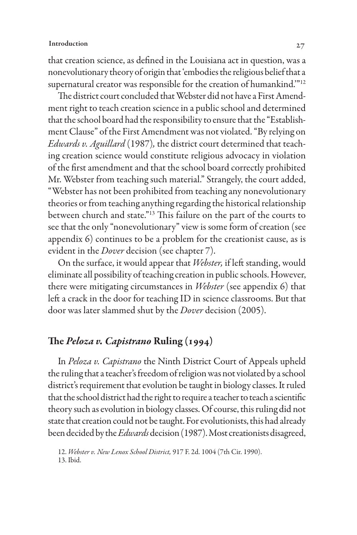### 27 **Introduction**

that creation science, as defined in the Louisiana act in question, was a nonevolutionary theory of origin that 'embodies the religious belief that a supernatural creator was responsible for the creation of humankind."<sup>12</sup>

The district court concluded that Webster did not have a First Amendment right to teach creation science in a public school and determined that the school board had the responsibility to ensure that the "Establishment Clause" of the First Amendment was not violated. "By relying on Edwards v. Aguillard (1987), the district court determined that teaching creation science would constitute religious advocacy in violation of the first amendment and that the school board correctly prohibited Mr. Webster from teaching such material." Strangely, the court added, "Webster has not been prohibited from teaching any nonevolutionary theories or from teaching anything regarding the historical relationship between church and state."13 This failure on the part of the courts to see that the only "nonevolutionary" view is some form of creation (see appendix 6) continues to be a problem for the creationist cause, as is evident in the *Dover* decision (see chapter 7).

On the surface, it would appear that Webster, if left standing, would eliminate all possibility of teaching creation in public schools. However, there were mitigating circumstances in Webster (see appendix 6) that left a crack in the door for teaching ID in science classrooms. But that door was later slammed shut by the Dover decision (2005).

# **The** *Peloza v. Capistrano* **Ruling (1994)**

In Peloza v. Capistrano the Ninth District Court of Appeals upheld the ruling that a teacher's freedom of religion was not violated by a school district's requirement that evolution be taught in biology classes. It ruled that the school district had the right to require a teacher to teach a scientific theory such as evolution in biology classes. Of course, this ruling did not state that creation could not be taught. For evolutionists, this had already been decided by the *Edwards* decision (1987). Most creationists disagreed,

<sup>12.</sup> Webster v. New Lenox School District, 917 F. 2d. 1004 (7th Cir. 1990). 13. Ibid.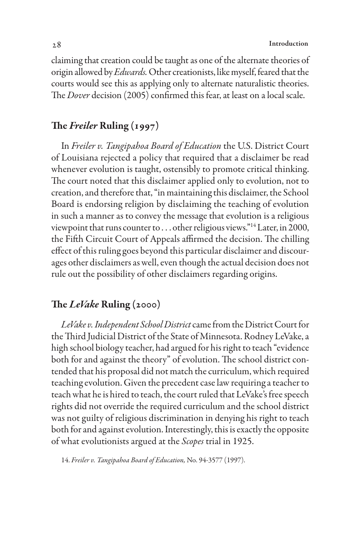claiming that creation could be taught as one of the alternate theories of origin allowed by Edwards. Other creationists, like myself, feared that the courts would see this as applying only to alternate naturalistic theories. The *Dover* decision (2005) confirmed this fear, at least on a local scale.

# **The** *Freiler* **Ruling (1997)**

In Freiler v. Tangipahoa Board of Education the U.S. District Court of Louisiana rejected a policy that required that a disclaimer be read whenever evolution is taught, ostensibly to promote critical thinking. The court noted that this disclaimer applied only to evolution, not to creation, and therefore that, "in maintaining this disclaimer, the School Board is endorsing religion by disclaiming the teaching of evolution in such a manner as to convey the message that evolution is a religious viewpoint that runs counter to . . . other religious views."14 Later, in 2000, the Fifth Circuit Court of Appeals affirmed the decision. The chilling effect of this ruling goes beyond this particular disclaimer and discourages other disclaimers as well, even though the actual decision does not rule out the possibility of other disclaimers regarding origins.

# **The** *LeVake* **Ruling (2000)**

LeVake v. Independent School District came from the District Court for the Third Judicial District of the State of Minnesota. Rodney LeVake, a high school biology teacher, had argued for his right to teach "evidence both for and against the theory" of evolution. The school district contended that his proposal did not match the curriculum, which required teaching evolution. Given the precedent case law requiring a teacher to teach what he is hired to teach, the court ruled that LeVake's free speech rights did not override the required curriculum and the school district was not guilty of religious discrimination in denying his right to teach both for and against evolution. Interestingly, this is exactly the opposite of what evolutionists argued at the Scopes trial in 1925.

14. Freiler v. Tangipahoa Board of Education, No. 94-3577 (1997).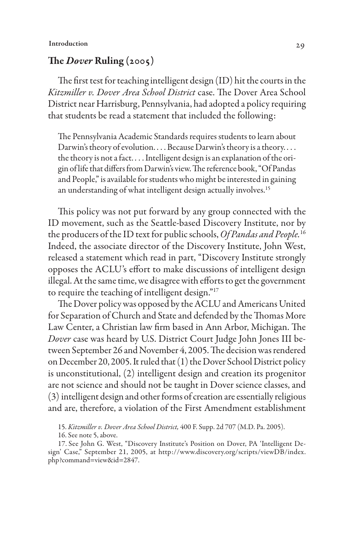#### **The** *Dover* **Ruling (2005)**

The first test for teaching intelligent design (ID) hit the courts in the Kitzmiller v. Dover Area School District case. The Dover Area School District near Harrisburg, Pennsylvania, had adopted a policy requiring that students be read a statement that included the following:

The Pennsylvania Academic Standards requires students to learn about Darwin's theory of evolution.... Because Darwin's theory is a theory.... the theory is not a fact. . . . Intelligent design is an explanation of the origin of life that differs from Darwin's view. The reference book, "Of Pandas and People," is available for students who might be interested in gaining an understanding of what intelligent design actually involves. 15

This policy was not put forward by any group connected with the ID movement, such as the Seattle-based Discovery Institute, nor by the producers of the ID text for public schools, Of Pandas and People.<sup>16</sup> Indeed, the associate director of the Discovery Institute, John West, released a statement which read in part, "Discovery Institute strongly opposes the ACLU's effort to make discussions of intelligent design illegal. At the same time, we disagree with efforts to get the government to require the teaching of intelligent design."17

The Dover policy was opposed by the ACLU and Americans United for Separation of Church and State and defended by the Thomas More Law Center, a Christian law firm based in Ann Arbor, Michigan. The Dover case was heard by U.S. District Court Judge John Jones III between September 26 and November 4, 2005. The decision was rendered on December 20, 2005. It ruled that (1) the Dover School District policy is unconstitutional, (2) intelligent design and creation its progenitor are not science and should not be taught in Dover science classes, and (3) intelligent design and other forms of creation are essentially religious and are, therefore, a violation of the First Amendment establishment

15. Kitzmiller v. Dover Area School District, 400 F. Supp. 2d 707 (M.D. Pa. 2005).

17. See John G. West, "Discovery Institute's Position on Dover, PA 'Intelligent Design' Case," September 21, 2005, at http://www.discovery.org/scripts/viewDB/index. php?command=view&id=2847.

<sup>16.</sup> See note 5, above.